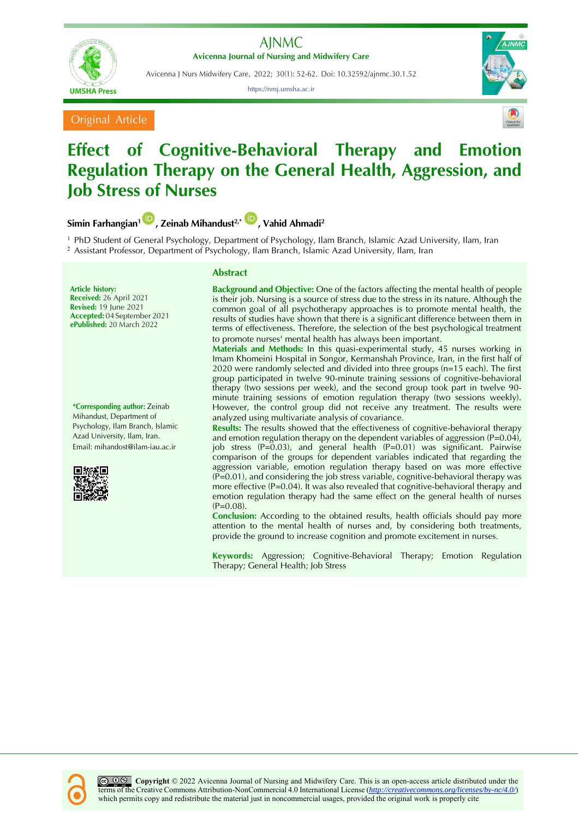



Avicenna J Nurs Midwifery Care, 2022; 30(1): 52-62. Doi: 10.32592/ajnmc.30.1.52

https://nmj.umsha.ac.ir



Original Article



## **Effect of Cognitive-Behavioral Therapy and Emotion Regulation Therapy on the General Health, Aggression, and Job Stress of Nurses**

**Simin Farhangian[1](https://orcid.org/0000-0001-1254-9635) , Zeinab Mihandust2,\* , Vahid Ahmadi<sup>2</sup>**

<sup>1</sup> PhD Student of General Psychology, Department of Psychology, Ilam Branch, Islamic Azad University, Ilam, Iran <sup>2</sup> Assistant Professor, Department of Psychology, Ilam Branch, Islamic Azad University, Ilam, Iran

**Article history: Received:** 26 April 2021 **Revised:** 19 June 2021 **Accepted:** 04September 2021 **ePublished:** 20 March 2022

**\*Corresponding author:** Zeinab Mihandust, Department of Psychology, Ilam Branch, Islamic Azad University, Ilam, Iran. Email: mihandost@ilam-iau.ac.ir



## **Abstract**

**Background and Objective:** One of the factors affecting the mental health of people is their job. Nursing is a source of stress due to the stress in its nature. Although the common goal of all psychotherapy approaches is to promote mental health, the results of studies have shown that there is a significant difference between them in terms of effectiveness. Therefore, the selection of the best psychological treatment to promote nurses' mental health has always been important.

**Materials and Methods:** In this quasi-experimental study, 45 nurses working in Imam Khomeini Hospital in Songor, Kermanshah Province, Iran, in the first half of 2020 were randomly selected and divided into three groups (n=15 each). The first group participated in twelve 90-minute training sessions of cognitive-behavioral therapy (two sessions per week), and the second group took part in twelve 90 minute training sessions of emotion regulation therapy (two sessions weekly). However, the control group did not receive any treatment. The results were analyzed using multivariate analysis of covariance.

**Results:** The results showed that the effectiveness of cognitive-behavioral therapy and emotion regulation therapy on the dependent variables of aggression (P=0.04), job stress (P=0.03), and general health (P=0.01) was significant. Pairwise comparison of the groups for dependent variables indicated that regarding the aggression variable, emotion regulation therapy based on was more effective  $(P=0.01)$ , and considering the job stress variable, cognitive-behavioral therapy was more effective (P=0.04). It was also revealed that cognitive-behavioral therapy and emotion regulation therapy had the same effect on the general health of nurses  $(P=0.08)$ .

**Conclusion:** According to the obtained results, health officials should pay more attention to the mental health of nurses and, by considering both treatments, provide the ground to increase cognition and promote excitement in nurses.

**Keywords:** Aggression; Cognitive-Behavioral Therapy; Emotion Regulation Therapy; General Health; Job Stress

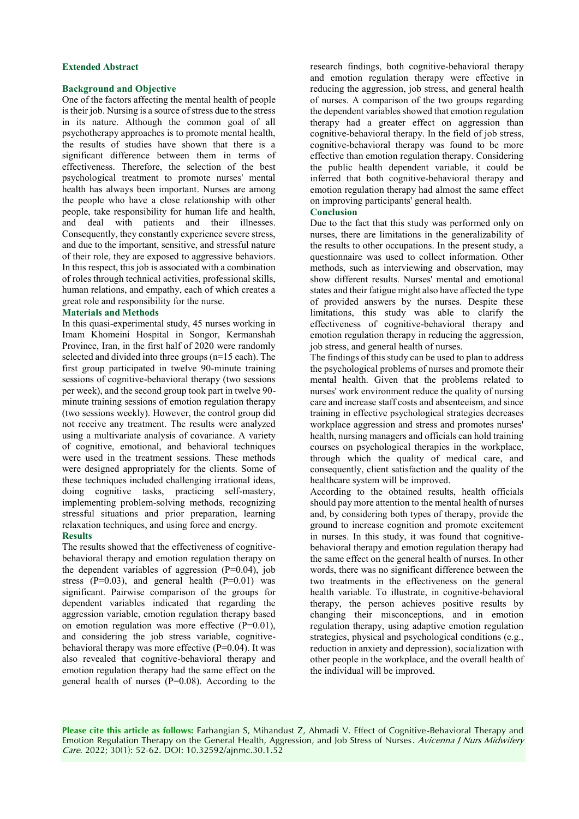## **Extended Abstract**

## **Background and Objective**

One of the factors affecting the mental health of people is their job. Nursing is a source of stress due to the stress in its nature. Although the common goal of all psychotherapy approaches is to promote mental health, the results of studies have shown that there is a significant difference between them in terms of effectiveness. Therefore, the selection of the best psychological treatment to promote nurses' mental health has always been important. Nurses are among the people who have a close relationship with other people, take responsibility for human life and health, and deal with patients and their illnesses. Consequently, they constantly experience severe stress, and due to the important, sensitive, and stressful nature of their role, they are exposed to aggressive behaviors. In this respect, this job is associated with a combination of roles through technical activities, professional skills, human relations, and empathy, each of which creates a great role and responsibility for the nurse.

## **Materials and Methods**

In this quasi-experimental study, 45 nurses working in Imam Khomeini Hospital in Songor, Kermanshah Province, Iran, in the first half of 2020 were randomly selected and divided into three groups (n=15 each). The first group participated in twelve 90-minute training sessions of cognitive-behavioral therapy (two sessions per week), and the second group took part in twelve 90 minute training sessions of emotion regulation therapy (two sessions weekly). However, the control group did not receive any treatment. The results were analyzed using a multivariate analysis of covariance. A variety of cognitive, emotional, and behavioral techniques were used in the treatment sessions. These methods were designed appropriately for the clients. Some of these techniques included challenging irrational ideas, doing cognitive tasks, practicing self-mastery, implementing problem-solving methods, recognizing stressful situations and prior preparation, learning relaxation techniques, and using force and energy.

## **Results**

The results showed that the effectiveness of cognitivebehavioral therapy and emotion regulation therapy on the dependent variables of aggression  $(P=0.04)$ , job stress  $(P=0.03)$ , and general health  $(P=0.01)$  was significant. Pairwise comparison of the groups for dependent variables indicated that regarding the aggression variable, emotion regulation therapy based on emotion regulation was more effective (P=0.01), and considering the job stress variable, cognitivebehavioral therapy was more effective (P=0.04). It was also revealed that cognitive-behavioral therapy and emotion regulation therapy had the same effect on the general health of nurses (P=0.08). According to the research findings, both cognitive-behavioral therapy and emotion regulation therapy were effective in reducing the aggression, job stress, and general health of nurses. A comparison of the two groups regarding the dependent variables showed that emotion regulation therapy had a greater effect on aggression than cognitive-behavioral therapy. In the field of job stress, cognitive-behavioral therapy was found to be more effective than emotion regulation therapy. Considering the public health dependent variable, it could be inferred that both cognitive-behavioral therapy and emotion regulation therapy had almost the same effect on improving participants' general health.

## **Conclusion**

Due to the fact that this study was performed only on nurses, there are limitations in the generalizability of the results to other occupations. In the present study, a questionnaire was used to collect information. Other methods, such as interviewing and observation, may show different results. Nurses' mental and emotional states and their fatigue might also have affected the type of provided answers by the nurses. Despite these limitations, this study was able to clarify the effectiveness of cognitive-behavioral therapy and emotion regulation therapy in reducing the aggression, job stress, and general health of nurses.

The findings of this study can be used to plan to address the psychological problems of nurses and promote their mental health. Given that the problems related to nurses' work environment reduce the quality of nursing care and increase staff costs and absenteeism, and since training in effective psychological strategies decreases workplace aggression and stress and promotes nurses' health, nursing managers and officials can hold training courses on psychological therapies in the workplace, through which the quality of medical care, and consequently, client satisfaction and the quality of the healthcare system will be improved.

According to the obtained results, health officials should pay more attention to the mental health of nurses and, by considering both types of therapy, provide the ground to increase cognition and promote excitement in nurses. In this study, it was found that cognitivebehavioral therapy and emotion regulation therapy had the same effect on the general health of nurses. In other words, there was no significant difference between the two treatments in the effectiveness on the general health variable. To illustrate, in cognitive-behavioral therapy, the person achieves positive results by changing their misconceptions, and in emotion regulation therapy, using adaptive emotion regulation strategies, physical and psychological conditions (e.g., reduction in anxiety and depression), socialization with other people in the workplace, and the overall health of the individual will be improved.

**Please cite this article as follows:** Farhangian S, Mihandust Z, Ahmadi V. Effect of Cognitive-Behavioral Therapy and Emotion Regulation Therapy on the General Health, Aggression, and Job Stress of Nurses. Avicenna J Nurs Midwifery Care. 2022; 30(1): 52-62. DOI: 10.32592/ajnmc.30.1.52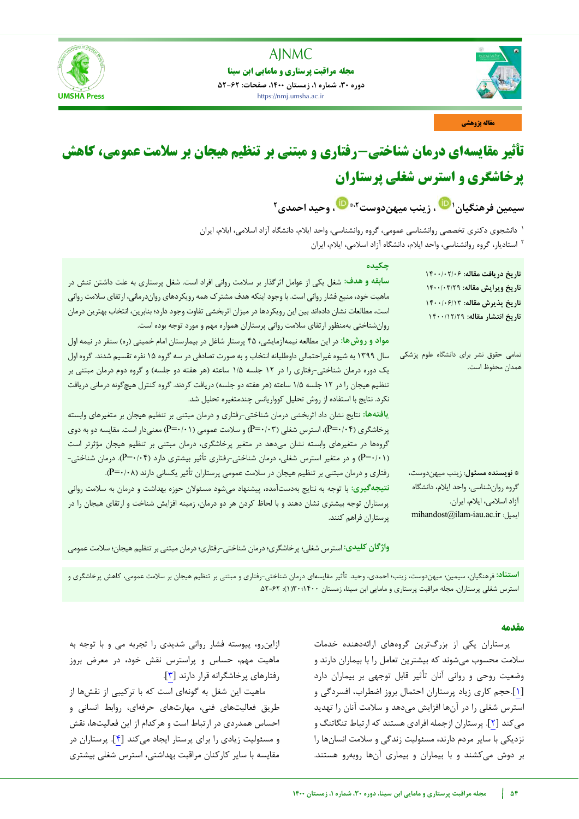

**مجله مراقبت پرستاری و مامایی ابن سینا دوره ،30 شماره ،1 زمستان ،1400 صفحات: 52-62** https://nmj.umsha.ac.ir



**مقاله پژوهشی**

# **تأثیر مقایسهای درمان شناختی-رفتاری و مبتنی بر تنظیم هیجان بر سالمت عمومی، کاهش پرخاشگری و استرس شغلی پرستاران**

**، زینب میهندوست [1](https://orcid.org/0000-0001-1254-9635) سیمین فرهنگیان [،](https://orcid.org/0000-0001-5210-7896) وحید احمدی ،2\* 2**

دانشجوی دکتری تخصصی روانشناسی عمومی، گروه روانشناسی، واحد ایالم، دانشگاه آزاد اسالمی، ایالم، ایران <sup>1</sup> استادیار، گروه روانشناسی، واحد ایالم، دانشگاه آزاد اسالمی، ایالم، ایران <sup>2</sup>

| چکیدہ<br>سابقه و هدف: شغل یکی از عوامل اثرگذار بر سلامت روانی افراد است. شغل پرستاری به علت داشتن تنش در<br>ماهیت خود، منبع فشار روانی است. با وجود اینکه هدف مشترک همه رویکردهای رواندرمانی، ارتقای سلامت روانی<br>است، مطالعات نشان دادهاند بین این رویکردها در میزان اثربخشی تفاوت وجود دارد؛ بنابرین، انتخاب بهترین درمان<br>روانشناختی بهمنظور ارتقای سلامت روانی پرستاران همواره مهم و مورد توجه بوده است.<br>مواد و روشها: در این مطالعه نیمهآزمایشی، ۴۵ پرستار شاغل در بیمارستان امام خمینی (ره) سنقر در نیمه اول                                                                                                                                                                                                                                                                     | تاريخ دريافت مقاله: ١٤٠٠/٠٢/٠<br>تاريخ ويرايش مقاله: ١٤٠٠/٠٣/٢٩<br>تاريخ پذيرش مقاله: ١٤٠٠/٠۶/١٣<br>تاريخ انتشار مقاله: ١٤٠٠/١٢/٢٩               |
|-----------------------------------------------------------------------------------------------------------------------------------------------------------------------------------------------------------------------------------------------------------------------------------------------------------------------------------------------------------------------------------------------------------------------------------------------------------------------------------------------------------------------------------------------------------------------------------------------------------------------------------------------------------------------------------------------------------------------------------------------------------------------------------------------|--------------------------------------------------------------------------------------------------------------------------------------------------|
| سال ۱۳۹۹ به شیوه غیراحتمالی داوطلبانه انتخاب و به صورت تصادفی در سه گروه ۱۵ نفره تقسیم شدند. گروه اول<br>یک دوره درمان شناختی-رفتاری را در ۱۲ جلسه ۱/۵ ساعته (هر هفته دو جلسه) و گروه دوم درمان مبتنی بر<br>تنظیم هیجان را در ۱۲ جلسه ۱/۵ ساعته (هر هفته دو جلسه) دریافت کردند. گروه کنترل هیچگونه درمانی دریافت<br>نکرد. نتایج با استفاده از روش تحلیل کوواریانس چندمتغیره تحلیل شد.<br>یافتهها: نتایج نشان داد اثربخشی درمان شناختی-رفتاری و درمان مبتنی بر تنظیم هیجان بر متغیرهای وابسته<br>پرخاشگری (P=۰/۰۴)، استرس شغلی (P=۰/۰۳) و سلامت عمومی (P=۰/۰۱) معنیدار است. مقایسه دو به دوی<br>گروهها در متغیرهای وابسته نشان میدهد در متغیر پرخاشگری، درمان مبتنی بر تنظیم هیجان مؤثرتر است<br>(P=۰/۰۱) و در متغیر استرس شغلی، درمان شناختی-رفتاری تأثیر بیشتری دارد (P=۰/۰۴). درمان شناختی- | تمامی حقوق نشر برای دانشگاه علوم پزشکی<br>همدان محفوظ است.                                                                                       |
| رفتاری و درمان مبتنی بر تنظیم هیجان در سلامت عمومی پرستاران تأثیر یکسانی دارند (P=۰/۰۸).<br>نتیجهگیری: با توجه به نتایج بهدستآمده، پیشنهاد میشود مسئولان حوزه بهداشت و درمان به سلامت روانی<br>پرستاران توجه بیشتری نشان دهند و با لحاظ کردن هر دو درمان، زمینه افزایش شناخت و ارتقای هیجان را در<br>پرستاران فراهم كنند.                                                                                                                                                                                                                                                                                                                                                                                                                                                                     | * نويسنده مسئول: زينب ميهندوست،<br>گروه روانشناسي، واحد ايلام، دانشگاه<br>آزاد اسلامي، ايلام، ايران.<br>$\text{mihandost@ilam-iau.ac.ir}$ :ایمیل |

**واژگان کلیدی:** استرس شغلی؛ پرخاشگری؛درمان شناختی-رفتاری؛درمان مبتنی بر تنظیم هیجان؛ سالمت عمومی

**استناد:** فرهنگیان، سیمین؛ میهندوست، زینب؛ احمدی، وحید. تأثیر مقایسهای درمان شناختی-رفتاری و مبتنی بر تنظیم هیجان بر سالمت عمومی، کاهش پرخاشگری و استرس شغلی پرستاران. مجله مراقبت پرستاری و مامایی ابن سینا، زمستان 1400؛30)1(: .52-62

## **مقدمه**

پرستاران یکی از بزرگترین گروههای ارائهدهنده خدمات سالمت محسوب میشوند که بیشترین تعامل را با بیماران دارند و وضعیت روحی و روانی آنان تأثیر قابل توجهی بر بیماران دارد [[1](#page-9-0)].حجم کاری زیاد پرستاران احتمال بروز اضطراب، افسردگی و استرس شغلی را در آنها افزایش میدهد و سالمت آنان را تهدید میکند [[2](#page-9-1)]. پرستاران ازجمله افرادی هستند که ارتباط تنگاتنگ و نزدیکی با سایر مردم دارند، مسئولیت زندگی و سالمت انسانها را بر دوش میکشند و با بیماران و بیماری آنها روبهرو هستند.

ازاینرو، پیوسته فشار روانی شدیدی را تجربه می و با توجه به ماهیت مهم، حساس و پراسترس نقش خود، در معرض بروز رفتارهای پرخاشگرانه قرار دارند [[3](#page-9-2)].

ماهیت این شغل به گونهای است که با ترکیبی از نقشها از طریق فعالیتهای فنی، مهارتهای حرفهای، روابط انسانی و احساس همدردی در ارتباط است و هرکدام از این فعالیتها، نقش و مسئولیت زیادی را برای پرستار ایجاد می کند [۴]. پرستاران در مقایسه با سایر کارکنان مراقبت بهداشتی، استرس شغلی بیشتری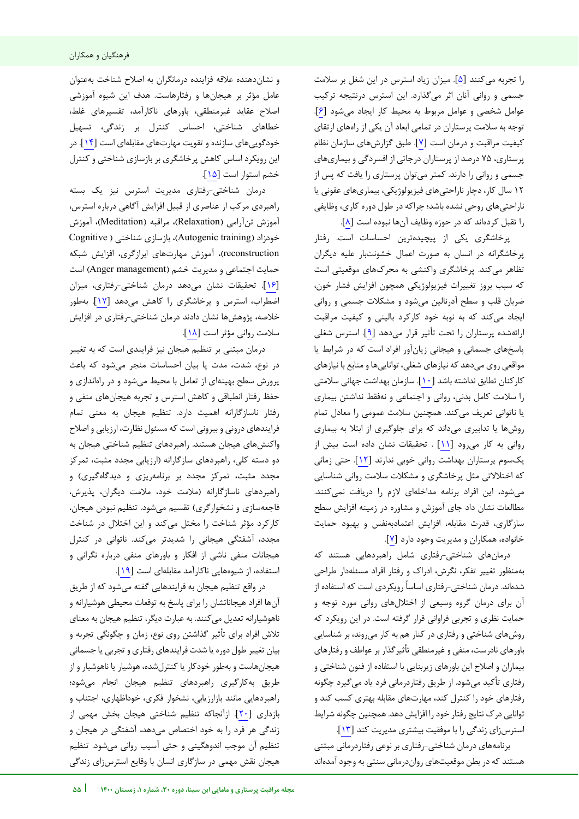را تجربه میکنند [[5](#page-9-4)]. میزان زیاد استرس در این شغل بر سالمت جسمی و روانی آنان اثر میگذارد. این استرس درنتیجه ترکیب عوامل شخصی و عوامل مربوط به محیط کار ایجاد میشود [[6](#page-9-5)]. توجه به سالمت پرستاران در تمامی ابعاد آن یکی از راههای ارتقای کیفیت مراقبت و درمان است [[7](#page-9-6)]. طبق گزارشهای سازمان نظام پرستاری، 75 درصد از پرستاران درجاتی از افسردگی و بیماریهای جسمی و روانی را دارند. کمتر میتوان پرستاری را یافت که پس از 12 سال کار، دچار ناراحتیهای فیزیولوژیکی، بیماریهای عفونی یا ناراحتیهای روحی نشده باشد؛ چراکه در طول دوره کاری، وظایفی را تقبل کردهاند که در حوزه وظایف آنها نبوده است [[8](#page-9-7)].

پرخاشگری یکی از پیچیدهترین احساسات است. رفتار پرخاشگرانه در انسان به صورت اعمال خشونتبار علیه دیگران تظاهر میکند. پرخاشگری واکنشی به محرکهای موقعیتی است که سبب بروز تغییرات فیزیولوژیکی همچون افزایش فشار خون، ضربان قلب و سطح آدرنالین میشود و مشکلات جسمی و روانی ایجاد می کند که به نوبه خود کارکرد بالینی و کیفیت مراقبت ارائهشده پرستاران را تحت تأثیر قرار میدهد [۹]. استرس شغلی پاسخهای جسمانی و هیجانی زیانآور افراد است که در شرایط یا مواقعی روی میدهد که نیازهای شغلی، تواناییها و منابع با نیازهای کارکنان تطابق نداشته باشد [[10](#page-9-9)]. سازمان بهداشت جهانی سالمتی را سالمت کامل بدنی، روانی و اجتماعی و نهفقط نداشتن بیماری یا ناتوانی تعریف میکند. همچنین سالمت عمومی را معادل تمام روشها یا تدابیری میداند که برای جلوگیری از ابتال به بیماری روانی به کار میرود [[11](#page-9-10)] . تحقیقات نشان داده است بیش از یکسوم پرستاران بهداشت روانی خوبی ندارند [[12](#page-9-11)]. حتی زمانی که اختالالتی مثل پرخاشگری و مشکالت سالمت روانی شناسایی میشود، این افراد برنامه مداخلهای الزم را دریافت نمیکنند. مطالعات نشان داد جای آموزش و مشاوره در زمینه افزایش سطح سازگاری، قدرت مقابله، افزایش اعتمادبهنفس و بهبود حمایت خانواده، همکاران و مدیریت وجود دارد [[7](#page-9-6)].

درمانهای شناختی-رفتاری شامل راهبردهایی هستند که بهمنظور تغییر تفکر، نگرش، ادراک و رفتار افراد مسئلهدار طراحی شدهاند. درمان شناختی- رفتاری اساسا رویکردی است که استفاده از آن برای درمان گروه وسیعی از اختاللهای روانی مورد توجه و حمایت نظری و تجربی فراوانی قرار گرفته است. در این رویکرد که روشهای شناختی و رفتاری در کنار هم به کار میروند، بر شناسایی باورهای نادرست، منفی و غیرمنطقی تأثیرگذار بر عواطف و رفتارهای بیماران و اصالح این باورهای زیربنایی با استفاده از فنون شناختی و رفتاری تأکید میشود. از طریق رفتاردرمانی فرد یاد میگیرد چگونه رفتارهای خود را کنترل کند، مهارتهای مقابله بهتری کسب کند و توانایی درک نتایج رفتار خود را افزایش دهد. همچنین چگونه شرایط استرسزای زندگی را با موفقیت بیشتری مدیریت کند [[13](#page-9-12)].

برنامههای درمان شناختی-رفتاری بر نوعی رفتاردرمانی مبتنی هستند که در بطن موقعیتهای رواندرمانی سنتی به وجود آمدهاند

j

و نشاندهنده عالقه فزاینده درمانگران به اصالح شناخت به عنوان عامل مؤثر بر هیجانها و رفتارهاست. هدف این شیوه آموزشی اصالح عقاید غیرمنطقی، باورهای ناکارآمد، تفسیرهای غلط، خطاهای شناختی، احساس کنترل بر زندگی، تسهیل خودگوییهای سازنده و تقویت مهارتهای مقابلهای است [[14](#page-9-13)]. در این رویکرد اساس کاهش پرخاشگری بر بازسازی شناختی و کنترل خشم استوار است [[15](#page-9-14)].

درمان شناختی-رفتاری مدیریت استرس نیز یک بسته راهبردی مرکب از عناصری از قبیل افزایش آگاهی درباره استرس، آموزش تنآرامی )Relaxation)، مراقبه )Meditation)، آموزش خودزاد )training Autogenic)، بازسازی شناختی ) Cognitive reconstruction)، آموزش مهارتهای ابرازگری، افزایش شبکه حمایت اجتماعی و مدیریت خشم (Anger management) است [[16](#page-9-15)]. تحقیقات نشان میدهد درمان شناختی-رفتاری، میزان اضطراب، استرس و پرخاشگری را کاهش میدهد [[17](#page-9-16)]. بهطور خالصه، پژوهشها نشان دادند درمان شناختی-رفتاری در افزایش سالمت روانی مؤثر است [[18](#page-9-17)].

درمان مبتنی بر تنظیم هیجان نیز فرایندی است که به تغییر در نوع، شدت، مدت یا بیان احساسات منجر میشود که باعث پرورش سطح بهینهای از تعامل با محیط میشود و در راهاندازی و حفظ رفتار انطباقی و کاهش استرس و تجربه هیجانهای منفی و رفتار ناسازگارانه اهمیت دارد. تنظیم هیجان به معنی تمام فرایندهای درونی و بیرونی است که مسئول نظارت، ارزیابی و اصالح واکنشهای هیجان هستند. راهبردهای تنظیم شناختی هیجان به دو دسته کلی، راهبردهای سازگارانه )ارزیابی مجدد مثبت، تمرکز مجدد مثبت، تمرکز مجدد بر برنامهریزی و دیدگاهگیری) و راهبردهای ناسازگارانه )مالمت خود، مالمت دیگران، پذیرش، فاجعهسازی و نشخوارگری) تقسیم میشود. تنظیم نبودن هیجان، کارکرد مؤثر شناخت را مختل میکند و این اختالل در شناخت مجدد، آشفتگی هیجانی را شدیدتر میکند. ناتوانی در کنترل هیجانات منفی ناشی از افکار و باورهای منفی درباره نگرانی و استفاده، از شیوههایی ناکارآمد مقابلهای است [[19](#page-9-18)].

در واقع تنظیم هیجان به فرایندهایی گفته میشود که از طریق آنها افراد هیجاناتشان را برای پاسخ به توقعات محیطی هوشیارانه و ناهوشیارانه تعدیل میکنند. به عبارت دیگر، تنظیم هیجان به معنای تالش افراد برای تأثیر گذاشتن روی نوع، زمان و چگونگی تجربه و بیان تغییر طول دوره یا شدت فرایندهای رفتاری و تجربی یا سمانی ج هیجانهاست و بهطور خودکار یا کنترلشده، هوشیار یا ناهوشیار و از طریق بهکارگیری راهبردهای تنظیم هیجان انجام میشود؛ راهبردهایی مانند بازارزیابی، نشخوار فکری، خوداظهاری، اجتناب و بازداری [[20](#page-9-19)]. ازآنجاکه تنظیم شناختی هیجان بخش مهمی از زندگی هر فرد را به خود اختصاص میدهد، آشفتگی در هیجان و تنظیم آن موجب اندوهگینی و حتی آسیب روانی میشود. تنظیم هیجان نقش مهمی در سازگاری انسان با وقایع استرسزای زندگی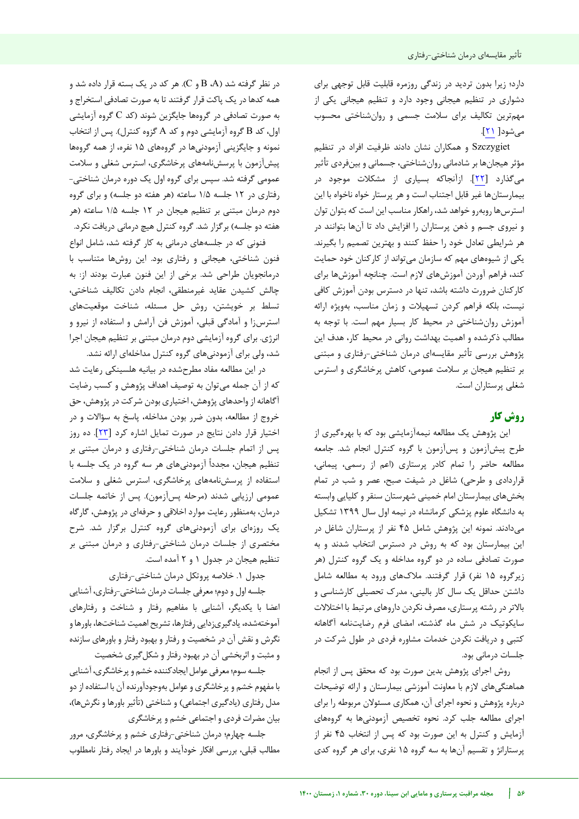دارد؛ زیرا بدون تردید در زندگی روزمره قابلیت قابل توجهی برای دشواری در تنظیم هیجانی وجود دارد و تنظیم هیجانی یکی از مهمترین تکالیف برای سالمت جسمی و روانشناختی محسوب میشود[ [21](#page-9-20)].

Szczygiet و همکاران نشان دادند ظرفیت افراد در تنظیم مؤثر هیجانها بر شادمانی روانشناختی، جسمانی و بینفردی تأثیر میگذارد [[22](#page-9-21)]. ازآنجاکه بسیاری از مشکالت موجود در بیمارستانها غیر قابل اجتناب است و هر پرستار خواه ناخواه با این استرسها روبهرو خواهد شد، راهکار مناسب این است که بتوان توان و نیروی جسم و ذهن پرستاران را افزایش داد تا آنها بتوانند در هر شرایطی تعادل خود را حفظ کنند و بهترین تصمیم را بگیرند. یکی از شیوههای مهم که سازمان میتواند از کارکنان خود حمایت کند، فراهم آوردن آموزشهای الزم است. چنانچه آموزشها برای کارکنان ضرورت داشته باشد، تنها در دسترس بودن آموزش کافی نیست، بلکه فراهم کردن تسهیالت و زمان مناسب، بهویژه ارائه آموزش روانشناختی در محیط کار بسیار مهم است. با توجه به مطالب ذکرشده و اهمیت بهداشت روانی در محیط کار، هدف این پژوهش بررسی تأثیر مقایسهای درمان شناختی-رفتاری و مبتنی بر تنظیم هیجان بر سالمت عمومی، کاهش پرخاشگری و استرس شغلی پرستاران است.

## **کار روش**

این پژوهش یک مطالعه نیمهآزمایشی بود که با بهرهگیری از طرح پیش وآزمون پسآزمون با گروه کنترل انجام شد. جامعه مطالعه حاضر را تمام کادر پرستاری )اعم از رسمی، پیمانی، قراردادی و طرحی) شاغل در شیفت صبح، عصر و شب در تمام بخشهای بیمارستان امام خمینی شهرستان سنقر و کلیایی وابسته به دانشگاه علوم پزشکی کرمانشاه در نیمه اول سال 1399 تشکیل میدادند. نمونه این پژوهش شامل 45 نفر از پرستاران شاغل در این بیمارستان بود که به روش در دسترس انتخاب شدند و به صورت تصادفی ساده در دو گروه مداخله و یک گروه کنترل )هر زیرگروه 15 نفر( قرار گرفتند. مالکهای ورود به مطالعه شامل داشتن حداقل یک سال کار بالینی، مدرک تحصیلی کارشناسی و باالتر در رشته پرستاری، مصرف نکردن داروهای مرتبط با اختالالت سایکوتیک در شش ماه گذشته، امضای فرم رضایتنامه آگاهانه کتبی و دریافت نکردن خدمات مشاوره فردی در طول شرکت در جلسات درمانی بود.

روش اجرای پژوهش بدین صورت بود که محقق پس از انجام هماهنگیهای الزم با معاونت آموزشی بیمارستان و ارائه توضیحات درباره پژوهش و نحوه اجرای آن، همکاری مسئوالن مربوطه را برای اجرای مطالعه جلب کرد. نحوه تخصیص آزمودنیها به گروههای آزمایش و کنترل به این صورت بود که پس از انتخاب 45 نفر از پرستارانژ و تقسیم آنها به سه گروه 15 نفری، برای هر گروه کدی

در نظر گرفته شد (A، B و C). هر کد در یک بسته قرار داده شد و همه کدها در یک پاکت قرار گرفتند تا به صورت تصادفی استخراج و به صورت تصادفی در گروهها جایگزین شوند (کد C گروه آزمایشی اول، کد B گروه آزمایشی دوم و کد A گزوه کنترل). پس از انتخاب نمونه و جایگزینی آزمودنیها در گروههای 15 نفره، از همه گروهها پیشآزمون با پرسشنامههای پرخاشگری، استرس شغلی و سالمت عمومی گرفته شد. سپس برای گروه اول یک دوره درمان شناختی- رفتاری در ١٢ جلسه ١/۵ ساعته (هر هفته دو جلسه) و برای گروه دوم درمان مبتنی بر تنظیم هیجان در 12 جلسه 1/5 ساعته )هر هفته دو جلسه) برگزار شد. گروه کنترل هیچ درمانی دریافت نکرد.

فنونی که در جلسههای درمانی به کار گرفته شد، شامل انواع فنون شناختی، هیجانی و رفتاری بود. این روشها متناسب با درمانجویان طراحی شد. برخی از این فنون عبارت بودند از: به چالش کشیدن عقاید غیرمنطقی، انجام دادن تکالیف شناختی، تسلط بر خویشتن، روش حل مسئله، شناخت های موقعیت استرسزا و آمادگی قبلی، آموزش فن آرامش و استفاده از نیرو و انرژی. برای گروه آزمایشی دوم درمان مبتنی بر تنظیم هیجان اجرا شد، ولی برای آزمودنیهای گروه کنترل مداخلهای ارائه نشد.

در این مطالعه مفاد مطرحشده در بیانیه هلسینکی رعایت شد که از آن جمله میتوان به توصیف اهداف پژوهش و کسب رضایت آگاهانه از واحدهای پژوهش، اختیاری بودن شرکت در پژوهش، حق خروج از مطالعه، بدون ضرر بودن مداخله، پاسخ به سؤاالت و در اختیار قرار دادن نتایج در صورت تمایل اشاره کرد [[23](#page-9-22)]. ده روز پس از اتمام جلسات درمان شناختی-رفتاری و درمان مبتنی بر تنظیم هیجان، مجددا آزمودنیهای هر سه گروه در یک جلسه با استفاده از پرسشنامههای پرخاشگری، استرس شغلی و سالمت عمومی ارزیابی شدند (مرحله پسآزمون). پس از خاتمه جلسات درمان، بهمنظور رعایت موارد اخالقی و حرفهای در پژوهش، گارگاه یک روزهای برای آزمودنیهای گروه کنترل برگزار شد. شرح مختصری از جلسات درمان شناختی-رفتاری و درمان مبتنی بر تنظیم هیجان در جدول 1 و 2 آمده است.

جدول .1 خالصه پروتکل درمان شناختی-رفتاری

جلسه اول و دوم؛ معرفی جلسات درمان شناختی-رفتاری، آشنایی اعضا با یکدیگر، آشنایی با مفاهیم رفتار و شناخت و رفتارهای آموخته شده، یادگیری زدایی رفتارها، تشریح اهمیت شناختها، باورها و نگرش و نقش آن در شخصیت و رفتار و بهبود رفتار و باورهای سازنده و مثبت و اثربخشی آن در بهبود رفتار و شکل گیری شخصیت

جلسه سوم؛ معرفی عوامل ایجادکننده خشم و پرخاشگری، آشنایی با مفهوم خشم و پرخاشگری و عوامل بهوجودآورنده آن با استفاده از دو مدل رفتاری (یادگیری اجتماعی) و شناختی (تأثیر باورها و نگرشها)، بیان مضرات فردی و اجتماعی خشم و پرخاشگری

جلسه چهارم؛ درمان شناختی-رفتاری خشم و پرخاشگری، مرور مطالب قبلی، بررسی افکار خودآیند و باورها در ایجاد رفتار نامطلوب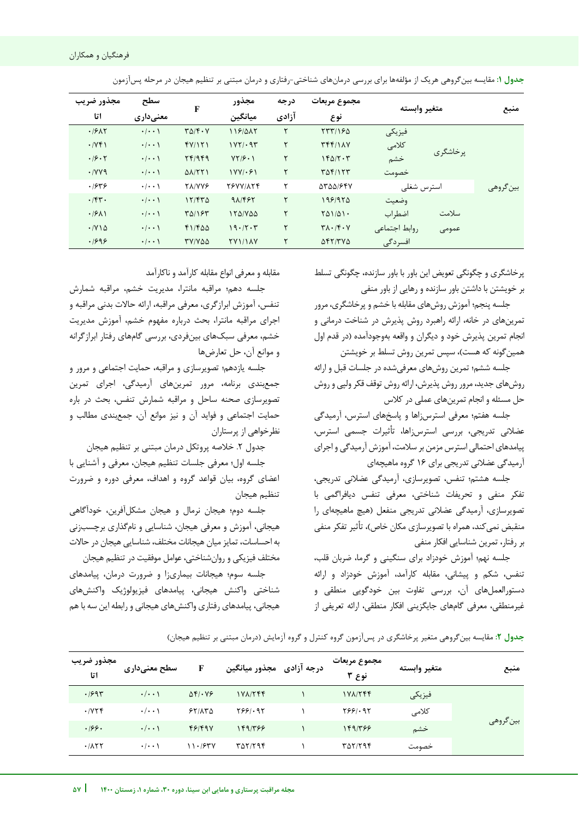| جدول ۱: مقایسه بینگروهی هریک از مؤلفهها برای بررسی درمانهای شناختی-رفتاری و درمان مبتنی بر تنظیم هیجان در مرحله پسآزمون |  |  |  |
|-------------------------------------------------------------------------------------------------------------------------|--|--|--|
|-------------------------------------------------------------------------------------------------------------------------|--|--|--|

| مجذور ضريب                       | سطح                 | $\mathbf{F}$                        | مجذور                    | درجه  | مجموع مربعات                                          |               | متغبر وابسته |          |
|----------------------------------|---------------------|-------------------------------------|--------------------------|-------|-------------------------------------------------------|---------------|--------------|----------|
| اتا                              | معنىدارى            |                                     | ميانگين                  | آزادي | نوع                                                   |               |              |          |
| .1917                            | $\cdot/\cdot\cdot$  | $T\Delta/\mathbf{f}\cdot\mathbf{V}$ | 118/015                  | ۲     | $\frac{1}{2}$                                         | فيزيكى        |              |          |
| $\cdot$ /YF)                     | $\cdot/\cdot\cdot$  | fY/Y                                | $1YY/\cdot 9Y$           | ٢     | $Tf(f)/\lambda V$                                     | كلامى         | پرخاشگری     |          |
| .19.7                            | $\cdot/\cdot\cdot$  | Yf/9f9                              | $YY/\mathcal{F} \cdot 1$ | ٢     | 160/7.7                                               | خشم           |              |          |
| $\cdot$ / $\vee$ $\vee$ $\wedge$ | $\cdot$   $\cdot$ \ | $\Delta\lambda/\Upsilon\Upsilon$    | $1YY/\cdot 51$           | ٢     | $T\Delta f/15f$                                       | خصومت         |              |          |
| .1849                            | $\cdot/\cdot\cdot$  | <b>TA/VVS</b>                       | TEVVIATF                 | ۲     | 55561647                                              | استرس شغلى    |              | بينگروهي |
| $\cdot$ /۴۳ $\cdot$              | $\cdot/\cdot\cdot$  | $17/FT\Delta$                       | 91/485                   | ٢     | 1981970                                               | وضعيت         |              |          |
| .791                             | $\cdot$   $\cdot$ \ | $T\Delta/15T$                       | 150/700                  | ٢     | $Y\Delta 1/\Delta 1$ .                                | اضطراب        | سلامت        |          |
| $\cdot$ / $\vee$ 1 $\triangle$   | $\cdot/\cdot\cdot$  | $f1/Fd\Delta$                       | 19.77.7                  | ٢     | $\mathbf{Y} \wedge \cdot \mathbf{X} \cdot \mathbf{Y}$ | روابط اجتماعي | عمومى        |          |
| .1999                            | $\cdot$   $\cdot$ \ | TY/YAA                              | <b>TYI/IAV</b>           |       | $\Delta f$                                            | افسردگی       |              |          |

پرخاشگری و چگونگی تعویض این باور با باور سازنده، چگونگی تسلط بر خویشتن با داشتن باور سازنده و رهایی از باور منفی

جلسه پنجم؛ آموزش روشهای مقابله با خشم و پرخاشگری، مرور تمرینهای در خانه، ارائه راهبرد روش پذیرش در شناخت درمانی و انجام تمرین پذیرش خود و دیگران و واقعه بهوجودآمده (در قدم اول همین گونه که هست)، سپس تمرین روش تسلط بر خویشتن

جلسه ششم؛ تمرین روشهای معرفیشده در جلسات قبل و ارائه روشهای جدید، مرور روش پذیرش، ارائه روش توقف قکر ولپی و روش حل مسئله و انجام تمرین های عملی در کلاس

جلسه هفتم؛ معرفی استرسزاها و پاسخهای استرس، آرمیدگی عضلانی تدریجی، بررسی استرس;اها، تأثیرات جسمی استرس، پیامدهای احتمالی استرس مزمن بر سلامت، آموزش آرمیدگی و اجرای تدریجی عضالنی آرمیدگی برای 16 گروه ماهیچهای

جلسه هشتم؛ تنفس، تصویرسازی، آرمیدگی عضالنی تدریجی، تفکر منفی و تحریفات شناختی، معرفی تنفس دیافراگمی با تصویرسازی، آرمیدگی عضلانی تدریجی منفعل (هیچ ماهیچهای را منقبض نمی کند، همراه با تصویرسازی مکان خاص)، تأثیر تفکر منفی بر رفتار، تمرین شناسایی افکار منفی

جلسه نهم؛ آموزش خودزاد برای سنگینی و گرما، ضربان قلب، تنفس، شکم و پیشانی، مقابله کارآمد، آموزش خودزاد و ارائه دستورالعملهای آن، بررسی تفاوت بین خودگویی منطقی و غیرمنطقی، معرفی گامهای جایگزینی افکار منطقی، ارائه تعریفی از

j

مقابله و معرفی انواع مقابله کارآمد و ناکارآمد

جلسه دهم؛ مراقبه مانترا، مدیریت خشم، مراقبه شمارش تنفس، آموزش ابرازگری، معرفی مراقبه، ارائه حالات بدنی مراقبه و اجرای مراقبه مانترا، بحث درباره مفهوم خشم، آموزش مدیریت خشم، معرفی سبکهای بینفردی، بررسی گامهای رفتار ابرازگرانه و موانع آن، حل تعارضها

جلسه یازدهم؛ تصویرسازی و مراقبه، حمایت اجتماعی و مرور و جمعبندی برنامه، مرور تمرینهای آرمیدگی، اجرای تمرین تصویرسازی صحنه ساحل و مراقبه شمارش تنفس، بحث در باره حمایت اجتماعی و فواید آن و نیز موانع آن، جمع،بندی مطالب و نظرخواهی از پرستاران

جدول ٢. خلاصه پروتکل درمان مبتنی بر تنظیم هیجان

جلسه اول؛ معرفی جلسات تنظیم هیجان، معرفی و آشنایی با اعضای گروه، بیان قواعد گروه و اهداف، معرفی دوره و ضرورت تنظیم هیجان

جلسه دوم؛ هیجان نرمال و هیجان مشکلآفرین، خودآگاهی هیجانی، آموزش و معرفی هیجان، شناسایی و نامگذاری برچسبزنی به احساسات، تمایز میان هیجانات مختلف، شناسایی هیجان در حاالت مختلف فیزیکی و روانشناختی، عوامل موفقیت در تنظیم هیجان

جلسه سوم؛ هیجانات بیماریزا و ضرورت درمان، پیامدهای شناختی واکنش هیجانی، پیامدهای فیزیولوژیک واکنشهای هیجانی، پیامدهای رفتاری واکنشهای هیجانی و رابطه این سه با هم

|  |  |  | جدول ۲: مقایسه بین گروهی متغیر پرخاشگری در پس آزمون گروه کنترل و گروه آزمایش (درمان مبتنی بر تنظیم هیجان) |
|--|--|--|-----------------------------------------------------------------------------------------------------------|
|--|--|--|-----------------------------------------------------------------------------------------------------------|

| منبع      | متغير وابسته | مجموع مربعات<br>نوع ۳ | درجه آزادی۔مجذور میانگین | F                  | سطح معنیداری       | مجذور ضريب<br>اتا |
|-----------|--------------|-----------------------|--------------------------|--------------------|--------------------|-------------------|
| بين گروهي | فيزيكى       | 1YAYYFF               | $1Y\Lambda/Y$            | $\Delta f$ . $V$ ۶ | $\cdot/\cdot\cdot$ | .1997             |
|           | كلامى        | Y551.91               | 7881.95                  | 55/100             | $\cdot/\cdot\cdot$ | .7Y5f             |
|           | خشم          | 149/۳۶۶               | 149/۳۶۶                  | F5/F9V             | $\cdot/\cdot\cdot$ | .199.             |
|           | خصومت        | <b>TAT/T94</b>        | 707/794                  | 11.154V            | $\cdot/\cdot\cdot$ | .711              |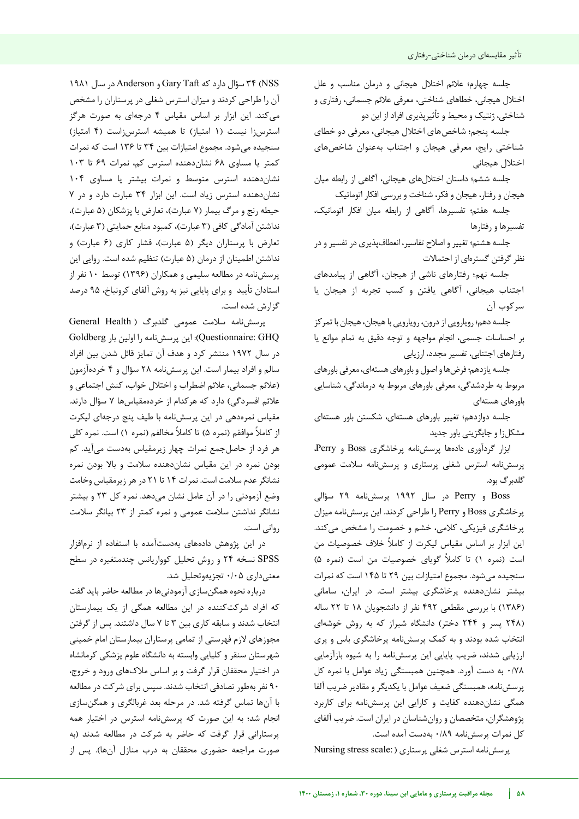جلسه چهارم؛ عالئم اختالل هیجانی و درمان مناسب و علل اختالل هیجانی، خطاهای شناختی، معرفی عالئم جسمانی، رفتاری و شناختی، ژنتیک و محیط و تأثیرپذیری افراد از این دو

جلسه پنجم؛ شاخصهای اختالل هیجانی، معرفی دو خطای شناختی رایج، معرفی هیجان و اجتناب بهعنوان شاخصهای اختالل هیجانی

جلسه ششم؛ داستان اختاللهای هیجانی، آگاهی از رابطه میان هیجان و رفتار، هیجان و فکر، شناخت و بررسی افکار اتوماتیک

جلسه هفتم؛ تفسیرها، آگاهی از رابطه میان افکار اتوماتیک، تفسیرها و رفتارها

جلسه هشتم؛ تغییر و اصالح تفاسیر، انعطافپذیری در تفسیر و در نظر گرفتن گسترهای از احتماالت

جلسه نهم؛ رفتارهای ناشی از هیجان، آگاهی از پیامدهای اجتناب هیجانی، آگاهی یافتن و کسب تجربه از هیجان یا سرکوب آن

جلسه دهم؛ رویارویی از درون، رویارویی با هیجان، هیجان با تمرکز بر احساسات جسمی، انجام مواجهه و توجه دقیق به تمام موانع یا رفتارهای اجتنابی، تفسیر مجدد، ارزیابی

جلسه یازدهم؛ فرضها و اصول و باورهای هستهای، معرفی باورهای مربوط به طردشدگی، معرفی باورهای مربوط به درماندگی، شناسایی باورهای هستهای

جلسه دوازدهم؛ تغییر باورهای هستهای، شکستن باور هستهای مشکلزا و جایگزینی باور جدید

ابزار گردآوری دادهها پرسشنامه پرخاشگری Boss و Perry، پرسشنامه استرس شغلی پرستاری و پرسشنامه سالمت عمومی گلدبرگ بود.

Boss و Perry در سال 1992 پرسشنامه 29 سؤالی پرخاشگری Boss و Perry را طراحی کردند. این پرسشنامه میزان پرخاشگری فیزیکی، کالمی، خشم و خصومت را مشخص میکند. این ابزار بر اساس مقیاس لیکرت از کامال خالف خصوصیات من است (نمره ۱) تا کاملاً گویای خصوصیات من است (نمره ۵) سنجیده میشود. مجموع امتیازات بین 29 تا 145 است که نمرات بیشتر نشاندهنده پرخاشگری بیشتر است. در ایران، سامانی )1386( با بررسی مقطعی 492 نفر از دانشجویان 18 تا 22 ساله )248 پسر و 244 دختر( دانشگاه شیراز که به روش خوشهای انتخاب شده بودند و به کمک پرسشنامه پرخاشگری باس و پری ارزیابی شدند، ضریب پایایی این پرسشنامه را به شیوه بازآزمایی 0/78 به دست آورد. همچنین همبستگی زیاد عوامل با نمره کل پرسشنامه، همبستگی ضعیف عوامل با یکدیگر و مقادیر ضریب آلفا همگی نشاندهنده کفایت و کارایی این پرسشنامه برای کاربرد پژوهشگران، متخصصان و روانشناسان در ایران است. ضریب آلفای کل نمرات پرسشنامه 0/89 بهدست آمده است.

پرسشنامه استرس شغلی پرستاری ( :Nursing stress scale

NSS )34 سؤال دارد که Taft Gary و Anderson در سال 1981 آن را طراحی کردند و میزان استرس شغلی در پرستاران را مشخص میکند. این ابزار بر اساس مقیاس 4 درجهای به صورت هرگز استرسزا نیست (۱ امتیاز) تا همیشه استرسزاست (۴ امتیاز) سنجیده میشود. مجموع امتیازات بین 34 تا 136 است که نمرات کمتر یا مساوی 68 نشاندهنده استرس کم، نمرات 69 تا 103 نشاندهنده استرس متوسط و نمرات بیشتر یا مساوی 104 نشاندهنده استرس زیاد است. این ابزار 34 عبارت دارد و در 7 حیطه رنج و مرگ بیمار (۷ عبارت)، تعارض با پزشکان (۵ عبارت)، نداشتن آمادگی کافی (۳ عبارت)، کمبود منابع حمایتی (۳ عبارت)، تعارض با پرستاران دیگر (۵ عبارت)، فشار کاری (۶ عبارت) و نداشتن اطمینان از درمان (۵ عبارت) تنظیم شده است. روایی این پرسشنامه در مطالعه سلیمی و همکاران )1396( توسط 10 نفر از استادان تأیید و برای پایایی نیز به روش آلفای کرونباخ، 95 درصد گزارش شده است.

پرسشنامه سلامت عمومی گلدبرگ (General Health GHQ :Questionnaire): این پرسشنامه را اولین بار Goldberg در سال 1972 منتشر کرد و هدف آن تمایز قائل شدن بین افراد سالم و افراد بیمار است. این پرسشنامه 28 سؤال و 4 خردهآزمون )عالئم جسمانی، عالئم اضطراب و اختالل خواب، کنش اجتماعی و علائم افسردگی) دارد که هرکدام از خردهمقیاسها ۷ سؤال دارند. مقیاس نمرهدهی در این پرسشنامه با طیف پنج درجهای لیکرت از کاملاً موافقم (نمره ۵) تا کاملاً مخالفم (نمره ۱) است. نمره کلی هر فرد از حاصلجمع نمرات چهار زیرمقیاس بهدست میآید. کم بودن نمره در این مقیاس نشاندهنده سالمت و باال بودن نمره نشانگر عدم سالمت است. نمرات 14 تا 21 در هر زیرمقیاس وخامت وضع آزمودنی را در آن عامل نشان میدهد. نمره کل 23 و بیشتر نشانگر نداشتن سالمت عمومی و نمره کمتر از 23 بیانگر سالمت روانی است.

در این پژوهش دادههای به دستآمده با استفاده از نرمافزار SPSS نسخه 24 و روش تحلیل کوواریانس چندمتغیره در سطح معنیداری 0/05 تجزیهوتحلیل شد.

درباره نحوه همگنسازی آزمودنیها در مطالعه حاضر باید گفت که افراد شرکتکننده در این مطالعه همگی از یک بیمارستان انتخاب شدند و سابقه کاری بین 3 تا 7 سال داشتند. پس از گرفتن مجوزهای الزم فهرستی از تمامی پرستاران بیمارستان امام خمینی شهرستان سنقر و کلیایی وابسته به دانشگاه علوم پزشکی کرمانشاه در اختیار محققان قرار گرفت و بر اساس مالکهای ورود و خروج، 90 نفر بهطور تصادفی انتخاب شدند. سپس برای شرکت در مطالعه با آنها تماس گرفته شد. در مرحله بعد غربالگری و همگنسازی انجام شد؛ به این صورت که پرسشنامه استرس در اختیار همه پرستارانی قرار گرفت که حاضر به شرکت در مطالعه شدند )به صورت مراجعه حضوری محققان به درب منازل آنها). پس از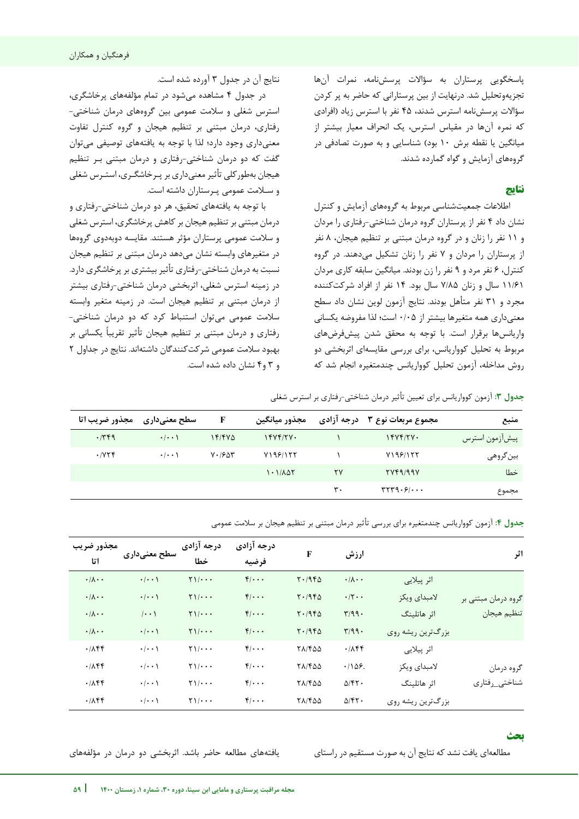پاسخگویی پرستاران به سؤاالت پرسشنامه، نمرات آنها تجزیهوتحلیل شد. درنهایت از بین پرستارانی که حاضر به پر کردن سؤاالت پرسشنامه استرس شدند، 45 نفر با استرس زیاد )افرادی که نمره آنها در مقیاس استرس، یک انحراف معیار بیشتر از میانگین یا نقطه برش ۱۰ بود) شناسایی و به صورت تصادفی در گروههای آزمایش و گواه گمارده شدند.

## **نتایج**

اطالعات جمعیتشناسی مربوط به گروههای آزمایش و کنترل نشان داد 4 نفر از پرستاران گروه درمان شناختی-رفتاری را مردان و 11 نفر را زنان و در گروه درمان مبتنی بر تنظیم هیجان، 8 نفر از پرستاران را مردان و 7 نفر را زنان تشکیل میدهند. در گروه کنترل، 6 نفر مرد و 9 نفر را زن بودند. میانگین سابقه کاری مردان 11/61 سال و زنان 7/85 سال بود. 14 نفر از افراد شرکتکننده مجرد و 31 نفر متأهل بودند. نتایج آزمون لوین نشان داد سطح معنیداری همه متغیرها بیشتر از 0/05 است؛ لذا مفروضه یکسانی واریانسها برقرار است. با توجه به محقق شدن پیشفرضهای مربوط به تحلیل کوواریانس، برای بررسی مقایسهای اثربخشی دو روش مداخله، آزمون تحلیل کوواریانس چندمتغیره انجام شد که

نتایج آن در جدول 3 آورده شده است.

 جدولدر 4 مشاهده میشود در تمام مؤلفههای پرخاشگری، استرس شغلی و سالمت عمومی بین گروههای درمان شناختی- رفتاری، درمان مبتنی بر تنظیم هیجان و گروه کنترل تفاوت معنیداری وجود دارد؛ لذا با توجه به یافتههای توصیفی میتوان گفت که دو درمان شناختی-رفتاری و درمان مبتنی بـر تنظیم هیجان بهطورکلی تأثیر معنیداری بر پـرخاشگـری، استـرس شغلی و سـالمت عمومی پـرستاران داشته است.

با توجه به یافتههای تحقیق، هر دو درمان شناختی رفتاری و - درمان مبتنی بر تنظیم هیجان بر کاهش پرخاشگری، استرس شغلی و سلامت عمومی پرستاران مؤثر هستند. مقایسه دوبهدوی گروهها در متغیرهای وابسته نشان میدهد درمان مبتنی بر تنظیم هیجان نسبت به درمان شناختی-رفتاری تأثیر بیشتری بر پرخاشگری دارد. در زمینه استرس شغلی، اثربخشی درمان شناختی تر رفتاری بیش- از درمان مبتنی بر تنظیم هیجان است. در زمینه متغیر وابسته سالمت عمومی میتوان استنباط کرد که دو درمان شناختی- رفتاری و درمان مبتنی بر تنظیم هیجان تأثیر تقریبا یکسانی بر بهبود سالمت عمومی شرکتکنندگان داشتهاند. نتایج در جداول 2 و 3 و4 نشان داده شده است.

 **جدول :3** آزمون کوواریانس برای تعیین تأثیر درمان شناختی-رفتاری بر استرس شغلی

| مجذور ضريب اتا | سطح معنیداری        | F                    | مجذور ميانگين | درجه آزادی | مجموع مربعات نوع ۳ | منبع             |
|----------------|---------------------|----------------------|---------------|------------|--------------------|------------------|
| .749           | $\cdot$ / $\cdot$ \ | 15/5V                | YYYYYY.       |            | 15Yf/YV            | ا پیشازمون استرس |
| .775           | $\cdot$ / $\cdot$ \ | $V \cdot 19\Delta r$ | Y199/177      |            | Y199/177           | بينگروهي         |
|                |                     |                      | 1.1/107       | ۲۷         | YYf9/99Y           | خطا              |
|                |                     |                      |               | ٣٠         | rrr9.9/            | مجموع            |

 **جدول :4** آزمون کوواریانس چندمتغیره برای بررسی تأثیر درمان مبتنی بر تنظیم هیجان بر سالمت عمومی

| اثر                                |                   | ارزش                        | F              | درجه آزادی<br>فرضيه | درجه آزادی<br>خطا      | سطح معنیداری        | مجذور ضريب<br>اتا           |
|------------------------------------|-------------------|-----------------------------|----------------|---------------------|------------------------|---------------------|-----------------------------|
|                                    | اثر پيلايي        | $\cdot/\lambda \cdot \cdot$ | $Y \cdot 1960$ | $f$                 | $\tau$ )/ $\cdots$     | $\cdot$ / $\cdot$ ) | $\cdot/\lambda \cdot \cdot$ |
| گروه درمان مبتنی بر<br>تنظيم هيجان | لامبداي ويكز      | $\cdot$ /۲ $\cdot$          | $Y \cdot 1960$ | $f/\cdots$          | $\frac{1}{1}$          | $\cdot$ / $\cdot$ \ | $\cdot/\lambda \cdot \cdot$ |
|                                    | اثر هاتلينگ       | $\mathbf{r}/99.$            | $Y \cdot 1960$ | $f$                 | $\frac{1}{1}$          | $\cdots$            | $\cdot/\lambda \cdot \cdot$ |
|                                    | بزرگترین ریشه روی | $\Gamma/99.$                | $Y \cdot 1960$ | $f$                 | $\frac{1}{1}$          | $\cdot$ / $\cdot$ ) | $\cdot/\lambda \cdot \cdot$ |
|                                    | اثر پيلايي        | .785                        | <b>TA/FQQ</b>  | $f/\cdots$          | $\Upsilon$             | $\cdot$ / $\cdot$ \ | .711                        |
| گروه درمان<br>شناختى_رفتارى        | لامبداي ويكز      | .1109.                      | 71/400         | $f/\cdots$          | $Y \setminus / \cdots$ | $\cdot$ / $\cdot$ \ | .711                        |
|                                    | اثر هاتلينگ       | $\Delta$ /۴۲.               | <b>TA/FQQ</b>  | $f/\cdots$          | $Y \setminus / \cdots$ | $\cdot$ / $\cdot$ \ | .785                        |
|                                    | بزرگترين ريشه روي | $\Delta$ /۴۲.               | 71/400         | $f/\cdots$          | $Y \setminus / \cdots$ | $\cdot$ / $\cdot$ ) | .785                        |

## **بحث**

j

مطالعهای یافت نشد که نتایج آن به صورت مستقیم در راستای یافتههای مطالعه حاضر باشد. اثربخشی دو درمان در مؤلفههای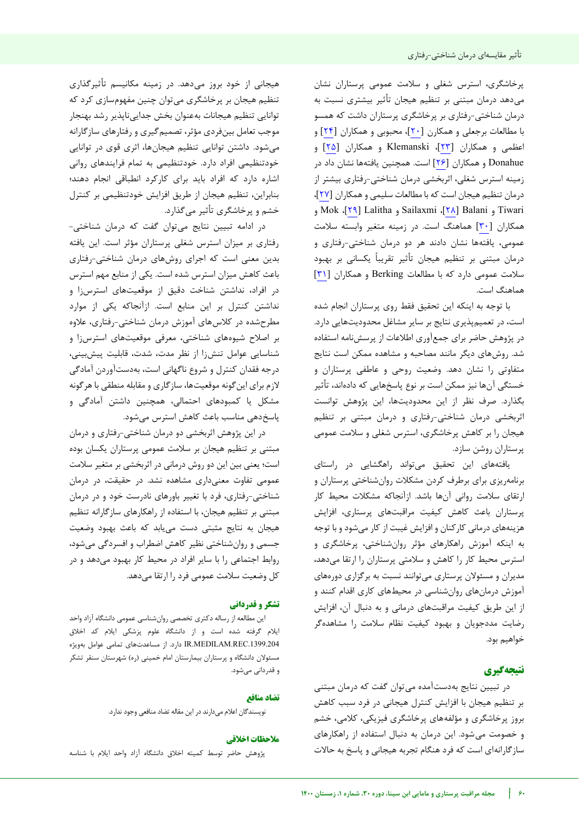پرخاشگری، استرس شغلی و سالمت عمومی پرستاران نشان میدهد درمان مبتنی بر تنظیم هیجان تأثیر بیشتری نسبت به -درمان شناختی رفتاری بر پرخاشگری پرستاران داشت که همسو با مطالعات برجعلی و همکارن [[20](#page-9-19)]، محبوبی و همکاران [[24](#page-9-23)] و اعظمی و همکاران [[23](#page-9-22)]، Klemanski و همکاران [[25](#page-9-24)] و Donahue و همکاران [[26](#page-9-25)] است. همچنین یافتهها نشان داد در زمینه استرس شغلی، اثربخشی درمان شناختی-رفتاری بیشتر از درمان تنظیم هیجان است که با مطالعات سلیمی و همکاران [[27](#page-9-26)]، و Mok ،[[29](#page-9-28)] Lalitha و Sailaxmi ،[[28](#page-9-27)] Balani و Tiwari همکاران [[30](#page-9-29)] هماهنگ است. در زمینه متغیر وابسته سالمت عمومی، یافتهها نشان دادند هر دو درمان شناختی-رفتاری و درمان مبتنی بر تنظیم هیجان تأثیر تقریبا یکسانی بر بهبود سالمت عمومی دارد که با مطالعات Berking و همکاران [[31](#page-9-30)] هماهنگ است.

با توجه به اینکه این تحقیق فقط روی پرستاران انجام شده است، در تعمیمپذیری نتایج بر سایر مشاغل محدودیتهایی دارد. در پژوهش حاضر برای جمعآوری اطلاعات از پرسشنامه استفاده شد. روشهای دیگر مانند مصاحبه و مشاهده ممکن است نتایج متفاوتی را نشان دهد. وضعیت روحی و عاطفی پرستاران و خستگی آنها نیز ممکن است بر نوع پاسخهایی که دادهاند، تأثیر بگذارد. صرف نظر از این محدودیتها، این پژوهش توانست اثربخشی درمان شناختی-رفتاری و درمان مبتنی بر تنظیم هیجان را بر کاهش پرخاشگری، استرس شغلی و سلامت عمومی پرستاران روشن سازد.

یافتههای این تحقیق میتواند راهگشایی در راستای برنامهریزی برای برطرف کردن مشکلات روانشناختی پرستاران و ارتقای سلامت روانی آنها باشد. ازآنجاکه مشکلات محیط کار پرستاران باعث کاهش کیفیت مراقبتهای پرستاری، افزایش هزینههای درمانی کارکنان و افزایش غیبت از کار می شود و با توجه به اینکه آموزش راهکارهای مؤثر روانشناختی، پرخاشگری و استرس محیط کار را کاهش و سلامتی پرستاران را ارتقا میدهد، مدیران و مسئولان پرستاری می توانند نسبت به برگزاری دورههای آموزش درمانهای روانشناسی در محیطهای کاری اقدام کنند و از این طریق کیفیت مراقبتهای درمانی و به دنبال آن، افزایش رضایت مددجویان و بهبود کیفیت نظام سلامت را مشاهدهگر خواهیم بود.

## **نتیجهگیری**

در تبیین نتایج به دست آمده می توان گفت که درمان مبتنی بر تنظیم هیجان با افزایش کنترل هیجانی در فرد سبب کاهش بروز پرخاشگری و مؤلفههای پرخاشگری فیزیکی، کالمی، خشم و خصومت میشود. این درمان به دنبال استفاده از راهکارهای سازگارانهای است که فرد هنگام تجربه هیجانی و پاسخ به حاالت

هیجانی از خود بروز میدهد. در زمینه مکانیسم تأثیرگذاری تنظیم هیجان بر پرخاشگری میتوان چنین مفهومسازی کرد که توانایی تنظیم هیجانات بهعنوان بخش جداییناپذیر رشد بهنجار موجب تعامل بینفردی مؤثر، تصمیمگیری و رفتارهای سازگارانه میشود. داشتن توانایی تنظیم هیجانها، اثری قوی در توانایی خودتنظیمی افراد دارد. خودتنظیمی به تمام فرایندهای روانی اشاره دارد که افراد باید برای کارکرد انطباقی انجام دهند؛ بنابراین، تنظیم هیجان از طریق افزایش خودتنظیمی بر کنترل خشم و پرخاشگری تأثیر میگذارد.

در ادامه تبیین نتایج میتوان گفت که درمان شناختی- رفتاری بر میزان استرس شغلی پرستاران مؤثر است. این یافته بدین معنی است که اجرای روشهای درمان شناختی رفتاری - باعث کاهش میزان استرس شده است. یکی از منابع مهم استرس در افراد، نداشتن شناخت دقیق از موقعیتهای استرسiا و نداشتن کنترل بر این منابع است. ازآنجاکه یکی از موارد مطرحشده در کالسهای آموزش درمان شناختی رفتاری، عالوه - بر اصالح شیوههای شناختی، معرفی موقعیتهای استرسزا و شناسایی عوامل تنشزا از نظر مدت، شدت، قابلیت پیشبینی، درجه فقدان کنترل و شروع ناگهانی است، بهدستآوردن آمادگی الزم برای اینگونه موقعیتها، سازگاری و مقابله منطقی با هرگونه مشکل یا کمبودهای احتمالی، همچنین داشتن آمادگی و پاسخدهی مناسب باعث کاهش استرس میشود.

در این پژوهش اثربخشی دو درمان شناختی-رفتاری و درمان مبتنی بر تنظیم هیجان بر سالمت عمومی پرستاران یکسان بوده است؛ یعنی بین این دو روش درمانی در اثربخشی بر متغیر سالمت عمومی تفاوت معنیداری مشاهده نشد. در حقیقت، در درمان مبتنی بر تنظیم هیجان، با استفاده از راهکارهای سازگارانه تنظیم-شناختی رفتاری، فرد با تغییر باورهای نادرست خود و در درمان هیجان به نتایج مثبتی دست مییابد که باعث بهبود وضعیت جسمی و روانشناختی نظیر کاهش اضطراب و افسردگی میشود، روابط اجتماعی را با سایر افراد در محیط کار بهبود میدهد و در کل وضعیت سلامت عمومی فرد را ارتقا می دهد.

## **تشکر و قدردانی**

این مطالعه از رساله دکتری تخصصی روانشناسی عمومی دانشگاه آزاد واحد ایلام گرفته شده است و از دانشگاه علوم پزشکی ایلام کد اخلاق .1399.204REC.MEDILAM.IR دارد. از مساعدتهای تمامی عوامل بهویژه مسئولان دانشگاه و پرستاران بیمارستان امام خمینی (ره) شهرستان سنقر تشکر و قدردانی میشود.

### **تضاد منافع**

نویسندگان اعلام می دارند در این مقاله تضاد منافعی وجود ندارد.

## **یاخالق مالحظات**

پژوهش حاضر توسط کمیته اخالق دانشگاه آزاد واحد ایالم با شناسه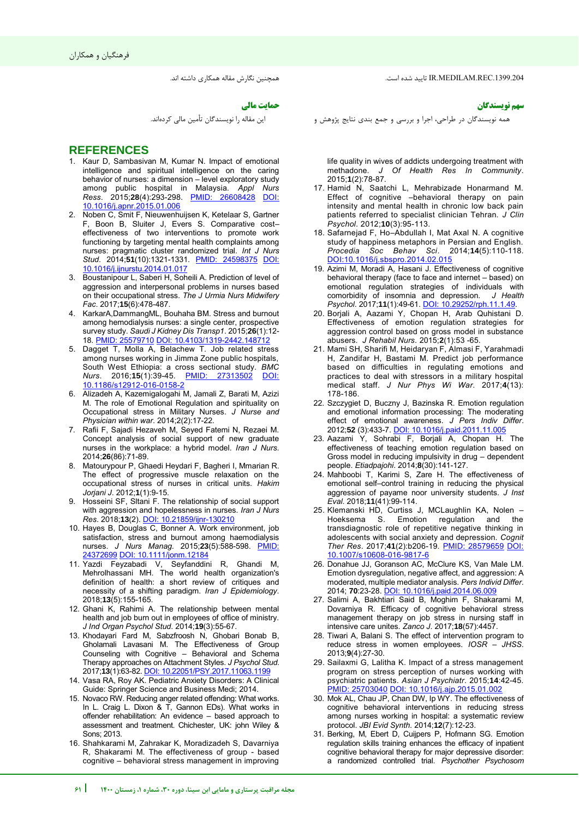فرهنگیان و همکاران

همچنین نگارش مقاله همکاری داشته اند.

#### **حمایت مالی**

این مقاله را نویسندگان تأمین مالی کردهاند.

## **REFERENCES**

- <span id="page-9-0"></span>1. Kaur D, Sambasivan M, Kumar N. Impact of emotional intelligence and spiritual intelligence on the caring behavior of nurses: a dimension – level exploratory study among public hospital in Malaysia. *Appl Nurs Ress*. 2015;28(4):293-298. PMID: [10.1016/j.apnr.2015.01.006](https://doi.org/10.1016/j.apnr.2015.01.006)
- <span id="page-9-1"></span>2. Noben C, Smit F, Nieuwenhuijsen K, Ketelaar S, Gartner F, Boon B, Sluiter J, Evers S. Comparative cost– effectiveness of two interventions to promote work functioning by targeting mental health complaints among nurses: pragmatic cluster randomized trial. *Int J Nurs Stud*. 2014;**51**(10):1321-1331. [PMID: 24598375](https://pubmed.ncbi.nlm.nih.gov/24598375/) [DOI:](https://doi.org/10.1016/j.ijnurstu.2014.01.017)  [10.1016/j.ijnurstu.2014.01.017](https://doi.org/10.1016/j.ijnurstu.2014.01.017)
- <span id="page-9-2"></span>3. Boustanipour L, Saberi H, Soheili A. Prediction of level of aggression and interpersonal problems in nurses based on their occupational stress. *The J Urmia Nurs Midwifery Fac*. 2017;**15**(6):478-487.
- <span id="page-9-3"></span>4. KarkarA,DammangML, Bouhaha BM. Stress and burnout among hemodialysis nurses: a single center, prospective survey study. *Saudi J Kidney Dis Transp1*. 2015;**26**(1):12- 18[. PMID: 25579710](https://pubmed.ncbi.nlm.nih.gov/25579710/) [DOI: 10.4103/1319-2442.148712](https://doi.org/10.4103/1319-2442.148712)
- <span id="page-9-4"></span>Dagget T, Molla A, Belachew T. Job related stress among nurses working in Jimma Zone public hospitals, South West Ethiopia: a cross sectional study. *BMC Nurs*. 2016;**15**(1):39-45. [PMID: 27313502](https://pubmed.ncbi.nlm.nih.gov/27313502/#:~:text=Results%3A%20A%20total%20of%20341,level%20of%2058.46%20%C2%B1%2012.62.) [DOI:](https://doi.org/10.1186/s12912-016-0158-2)  [10.1186/s12912-016-0158-2](https://doi.org/10.1186/s12912-016-0158-2)
- <span id="page-9-5"></span>6. Alizadeh A, Kazemigalogahi M, Jamali Z, Barati M, Azizi M. The role of Emotional Regulation and spirituality on Occupational stress in Military Nurses. *J Nurse and Physician within war*. 2014;2(2):17-22.
- <span id="page-9-6"></span>7. Rafii F, Sajadi Hezaveh M, Seyed Fatemi N, Rezaei M. Concept analysis of social support of new graduate nurses in the workplace: a hybrid model. *Iran J Nurs*. 2014;**26**(86):71-89.
- <span id="page-9-7"></span>8. Matourypour P, Ghaedi Heydari F, Bagheri I, Mmarian R. The effect of progressive muscle relaxation on the occupational stress of nurses in critical units. *Hakim Jorjani J*. 2012;**1**(1):9-15.
- <span id="page-9-8"></span>9. Hosseini SF, Sltani F. The relationship of social support with aggression and hopelessness in nurses. *Iran J Nurs Res*. 2018;**13**(2). [DOI: 10.21859/ijnr-130210](https://dx.doi.org/10.21859/ijnr-130210)
- <span id="page-9-9"></span>10. Hayes B, Douglas C, Bonner A. Work environment, job satisfaction, stress and burnout among haemodialysis nurses. *J Nurs Manag*. 2015;**23**(5):588-598. [PMID:](https://pubmed.ncbi.nlm.nih.gov/24372699/)  [24372699](https://pubmed.ncbi.nlm.nih.gov/24372699/) [DOI: 10.1111/jonm.12184](https://doi.org/10.1111/jonm.12184)
- <span id="page-9-10"></span>11. Yazdi Feyzabadi V, Seyfanddini R, Ghandi M, Mehrolhassani MH. The world health organization's definition of health: a short review of critiques and necessity of a shifting paradigm. *Iran J Epidemiology*. 2018;**13**(5):155-165.
- <span id="page-9-11"></span>12. Ghani K, Rahimi A. The relationship between mental health and job burn out in employees of office of ministry. *J Ind Organ Psychol Stud*. 2014;**19**(3):55-67.
- <span id="page-9-12"></span>13. Khodayari Fard M, Sabzfroosh N, Ghobari Bonab B, Gholamali Lavasani M. The Effectiveness of Group Counseling with Cognitive – Behavioral and Schema Therapy approaches on Attachment Styles. *J Psychol Stud*. 2017;**13**(1):63-82. [DOI: 10.22051/PSY.2017.11063.1199](https://dx.doi.org/10.22051/psy.2017.11063.1199)
- <span id="page-9-13"></span>14. Vasa RA, Roy AK. Pediatric Anxiety Disorders: A Clinical Guide: Springer Science and Business Medi; 2014.
- <span id="page-9-14"></span>15. Novaco RW. Reducing anger related offending: What works. In L. Craig L. Dixon & T, Gannon EDs). What works in offender rehabilitation: An evidence – based approach to assessment and treatment. Chichester, UK: john Wiley & Sons; 2013.
- <span id="page-9-15"></span>16. Shahkarami M, Zahrakar K, Moradizadeh S, Davarniya R, Shakarami M. The effectiveness of group - based cognitive – behavioral stress management in improving

.1399.204REC.MEDILAM.IR تایید شده است.

 **سهم نو سندگانی**

همه نویسندگان در طراحی، اجرا و بررسی و جمع بندی نتایج پژوهش و

life quality in wives of addicts undergoing treatment with methadone. *J Of Health Res In Community*. 2015;**1**(2):78-87.

- <span id="page-9-16"></span>17. Hamid N, Saatchi L, Mehrabizade Honarmand M. Effect of cognitive –behavioral therapy on pain intensity and mental health in chronic low back pain patients referred to specialist clinician Tehran. *J Clin Psychol*. 2012;**10**(3):95-113.
- <span id="page-9-17"></span>18. Safarnejad F, Ho–Abdullah I, Mat Axal N. A cognitive study of happiness metaphors in Persian and English. *Procedia Soc Behav Sci*. 2014;**14**(5):110-118. [DOI:10.1016/j.sbspro.2014.02.015](http://dx.doi.org/10.1016/j.sbspro.2014.02.015)
- <span id="page-9-18"></span>19. Azimi M, Moradi A, Hasani J. Effectiveness of cognitive behavioral therapy (face to face and internet – based) on emotional regulation strategies of individuals with comorbidity of insomnia and depression. J Health comorbidity of insomnia and depression. *Psychol*. 2017;**11**(1):49-61. [DOI: 10.29252/rph.11.1.49.](http://dx.doi.org/10.29252/rph.11.1.49)
- <span id="page-9-19"></span>20. Borjali A, Aazami Y, Chopan H, Arab Quhistani D. Effectiveness of emotion regulation strategies for aggression control based on gross model in substance abusers. *J Rehabil Nurs*. 2015;**2**(1):53 -65.
- <span id="page-9-20"></span>21. Mami SH, Sharifi M, Heidaryan F, Almasi F, Yarahmadi H, Zandifar H, Bastami M. Predict job performance based on difficulties in regulating emotions and practices to deal with stressors in a military hospital medical staff. *J Nur Phys Wi War*. 2017;**4**(13): 178-186.
- <span id="page-9-21"></span>22. Szczygiet D, Buczny J, Bazinska R. Emotion regulation and emotional information processing: The moderating effect of emotional awareness. *J Pers Indiv Differ*. 2012;**52** (3):433-7[. DOI: 10.1016/j.paid.2011.11.005](https://doi.org/10.1016/j.paid.2014.06.009)
- <span id="page-9-22"></span>23. Aazami Y, Sohrabi F, Borjali A, Chopan H. The effectiveness of teaching emotion regulation based on Gross model in reducing impulsivity in drug – dependent people. *Etiadpajohi*. 2014;**8**(30):141-127.
- <span id="page-9-23"></span>24. Mahboobi T, Karimi S, Zare H. The effectiveness of emotional self–control training in reducing the physical aggression of payame noor university students. *J Inst Eval*. 2018;**11**(41):99-114.
- <span id="page-9-24"></span>25. Klemanski HD, Curtiss J, MCLaughlin KA, Nolen –<br>Hoeksema S. Emotion regulation and the regulation and the transdiagnostic role of repetitive negative thinking in adolescents with social anxiety and depression. *Cognit Ther Res*. 2017;**41**(2):b206-19. [PMID: 28579659](https://pubmed.ncbi.nlm.nih.gov/28579659/) [DOI:](https://doi.org/10.1007/s10608-016-9817-6)  [10.1007/s10608-016-9817-6](https://doi.org/10.1007/s10608-016-9817-6)
- <span id="page-9-25"></span>26. Donahue JJ, Goranson AC, McClure KS, Van Male LM. Emotion dysregulation, negative affect, and aggression: A moderated, multiple mediator analysis. *Pers Individ Differ*. 2014; **70**:23-28. [DOI: 10.1016/j.paid.2014.06.009](https://doi.org/10.1016/j.paid.2014.06.009)
- <span id="page-9-26"></span>27. Salimi A, Bakhtiari Said B, Moghim F, Shakarami M, Dovarniya R. Efficacy of cognitive behavioral stress management therapy on job stress in nursing staff in intensive care unites. *Zanco J*. 2017;**18**(57):4457.
- <span id="page-9-27"></span>28. Tiwari A, Balani S. The effect of intervention program to reduce stress in women employees. *IOSR – JHSS*. 2013;**9**(4):27-30.
- <span id="page-9-28"></span>29. Sailaxmi G, Lalitha K. Impact of a stress management program on stress perception of nurses working with psychiatric patients. *Asian J Psychiatr*. 2015;**14**:42-45. [PMID: 25703040](https://pubmed.ncbi.nlm.nih.gov/25703040/#:~:text=RM%20ANOVA%20with%20spss%2016,impacted%20on%20nurses) [DOI: 10.1016/j.ajp.2015.01.002](https://doi.org/10.1016/j.ajp.2015.01.002)
- <span id="page-9-29"></span>30. Mok AL, Chau JP, Chan DW, Ip WY. The effectiveness of cognitive behavioral interventions in reducing stress among nurses working in hospital: a systematic review protocol. *JBI Evid Synth*. 2014;**12**(7):12-23.
- <span id="page-9-30"></span>31. Berking, M, Ebert D, Cuijpers P, Hofmann SG. Emotion regulation skills training enhances the efficacy of inpatient cognitive behavioral therapy for major depressive disorder: a randomized controlled trial. *Psychother Psychosom*

j